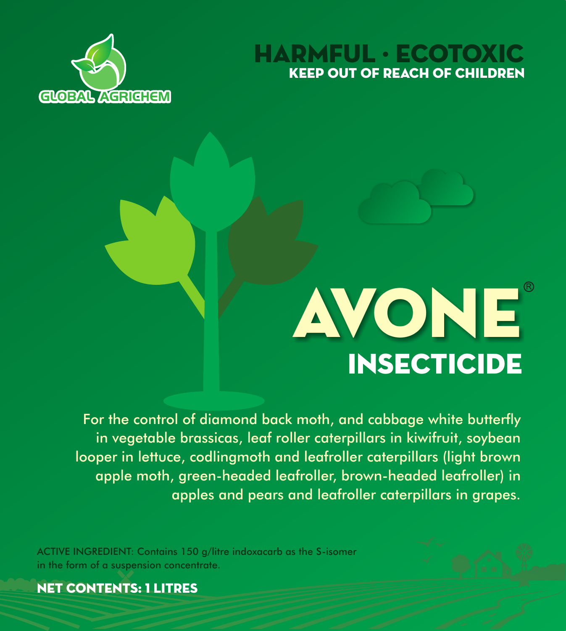





For the control of diamond back moth, and cabbage white butterfly in vegetable brassicas, leaf roller caterpillars in kiwifruit, soybean looper in lettuce, codlingmoth and leafroller caterpillars (light brown apple moth, green-headed leafroller, brown-headed leafroller) in apples and pears and leafroller caterpillars in grapes.

ACTIVE INGREDIENT: Contains 150 g/litre indoxacarb as the S-isomer in the form of a suspension concentrate.

NET CONTENTS: 1 litres